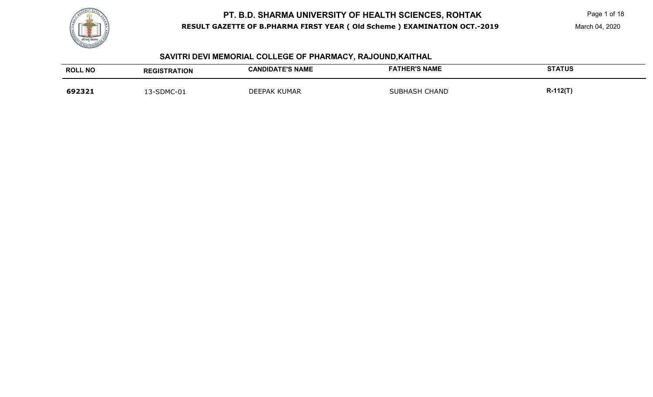

Page 1 of 18

#### **SAVITRI DEVI MEMORIAL COLLEGE OF PHARMACY, RAJOUND,KAITHAL**

| <b>ROLL NO</b> | <b>REGISTRATION</b> | <b>CANDIDATE'S NAME</b> | <b>FATHER'S NAME</b> | <b>STATUS</b>  |
|----------------|---------------------|-------------------------|----------------------|----------------|
| 692321         | 13-SDMC-01          | <b>DEEPAK KUMAR</b>     | <b>SUBHASH CHAND</b> | <b>R-112(T</b> |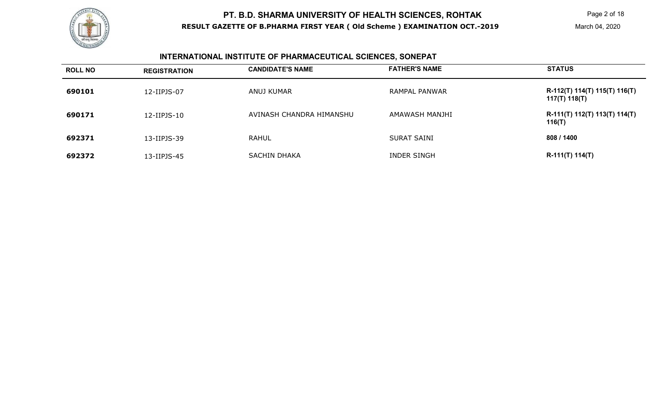

# **INTERNATIONAL INSTITUTE OF PHARMACEUTICAL SCIENCES, SONEPAT**

| <b>ROLL NO</b> | <b>REGISTRATION</b> | <b>CANDIDATE'S NAME</b>  | <b>FATHER'S NAME</b> | <b>STATUS</b>                                  |
|----------------|---------------------|--------------------------|----------------------|------------------------------------------------|
| 690101         | 12-IIPJS-07         | ANUJ KUMAR               | <b>RAMPAL PANWAR</b> | R-112(T) 114(T) 115(T) 116(T)<br>117(T) 118(T) |
| 690171         | 12-IIPJS-10         | AVINASH CHANDRA HIMANSHU | AMAWASH MANJHI       | R-111(T) 112(T) 113(T) 114(T)<br>116(T)        |
| 692371         | 13-IIPJS-39         | <b>RAHUL</b>             | <b>SURAT SAINI</b>   | 808 / 1400                                     |
| 692372         | 13-IIPJS-45         | <b>SACHIN DHAKA</b>      | <b>INDER SINGH</b>   | $R-111(T) 114(T)$                              |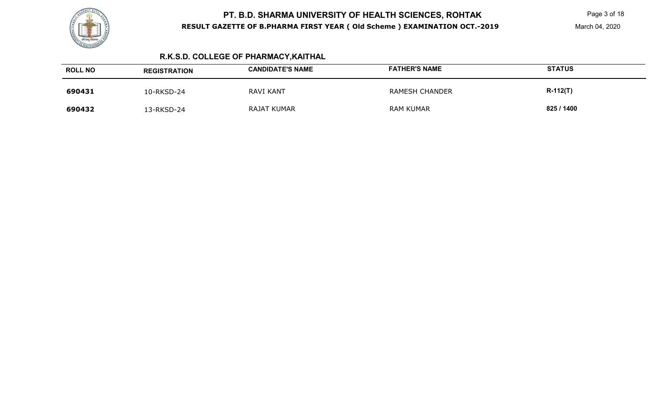

Page 3 of 18

# **R.K.S.D. COLLEGE OF PHARMACY,KAITHAL**

| <b>ROLL NO</b> | <b>REGISTRATION</b> | <b>CANDIDATE'S NAME</b> | <b>FATHER'S NAME</b>  | <b>STATUS</b> |
|----------------|---------------------|-------------------------|-----------------------|---------------|
| 690431         | 10-RKSD-24          | <b>RAVI KANT</b>        | <b>RAMESH CHANDER</b> | $R-112(T)$    |
| 690432         | 3-RKSD-24           | RAJAT KUMAR             | <b>RAM KUMAR</b>      | 825 / 1400    |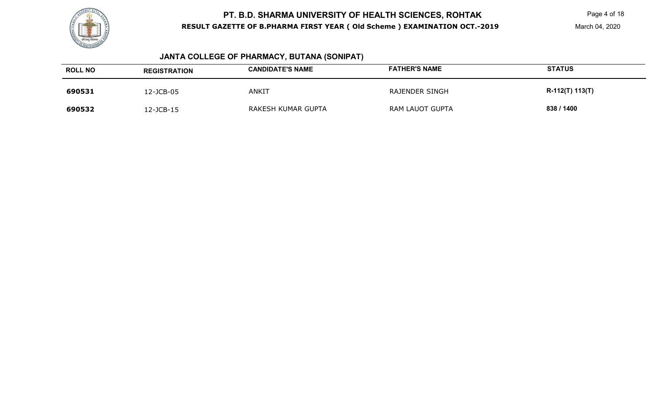

Page 4 of 18

# **JANTA COLLEGE OF PHARMACY, BUTANA (SONIPAT)**

| <b>ROLL NO</b> | <b>REGISTRATION</b> | <b>CANDIDATE'S NAME</b> | <b>FATHER'S NAME</b>   | <b>STATUS</b>   |
|----------------|---------------------|-------------------------|------------------------|-----------------|
| 690531         | 2-JCB-05            | <b>ANKIT</b>            | <b>RAJENDER SINGH</b>  | R-112(T) 113(T) |
| 690532         | 2-JCB-15            | RAKESH KUMAR GUPTA      | <b>RAM LAUOT GUPTA</b> | 838 / 1400      |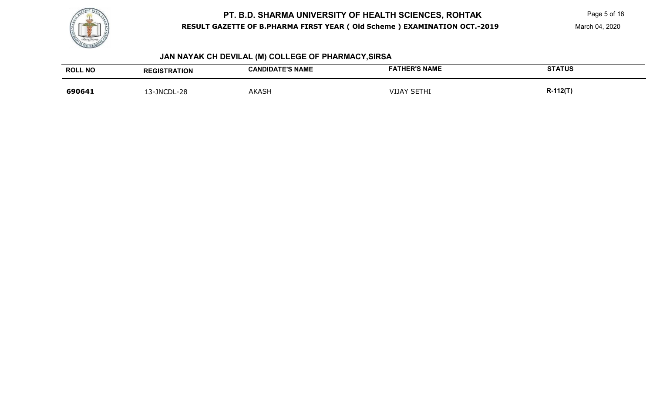

Page 5 of 18

March 04, 2020

# **JAN NAYAK CH DEVILAL (M) COLLEGE OF PHARMACY,SIRSA**

| <b>ROLL NO</b> | <b>REGISTRATION</b> | <b>CANDIDATE'S NAME</b> | <b>FATHER'S NAME</b> | <b>STATUS</b> |
|----------------|---------------------|-------------------------|----------------------|---------------|
| 690641         | 13-JNCDL-28         | <b>AKASH</b>            | <b>VIJAY SETHI</b>   | R-112(T)      |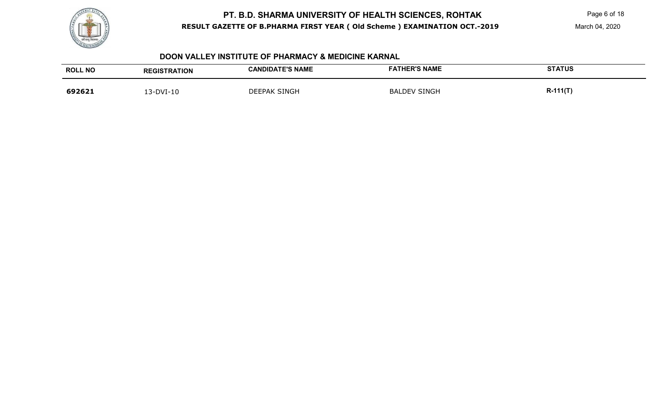

Page 6 of 18

March 04, 2020

#### **DOON VALLEY INSTITUTE OF PHARMACY & MEDICINE KARNAL**

| <b>ROLL NO</b> | <b>REGISTRATION</b> | <b>CANDIDATE'S NAME</b> | <b>FATHER'S NAME</b> | <b>STATUS</b> |
|----------------|---------------------|-------------------------|----------------------|---------------|
| 692621         | 13-DVI-10           | <b>DEEPAK SINGH</b>     | <b>BALDEV SINGH</b>  | $R-111(T)$    |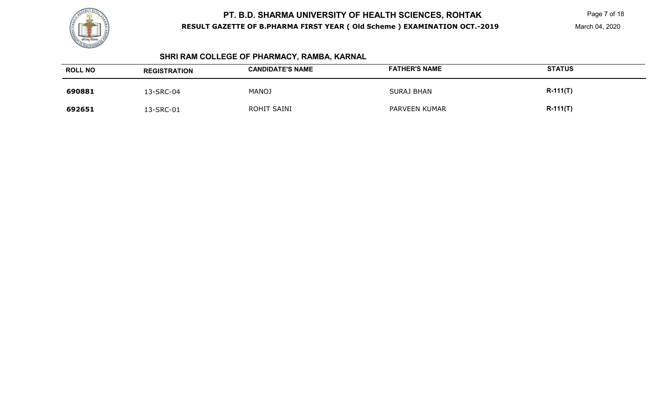

Page 7 of 18

# **SHRI RAM COLLEGE OF PHARMACY, RAMBA, KARNAL**

| <b>ROLL NO</b> | <b>REGISTRATION</b> | <b>CANDIDATE'S NAME</b> | <b>FATHER'S NAME</b> | <b>STATUS</b> |
|----------------|---------------------|-------------------------|----------------------|---------------|
| 690881         | 13-SRC-04           | <b>MANOJ</b>            | <b>SURAJ BHAN</b>    | $R-111(T)$    |
| 692651         | 13-SRC-01           | ROHIT SAINI             | PARVEEN KUMAR        | $R-111(T)$    |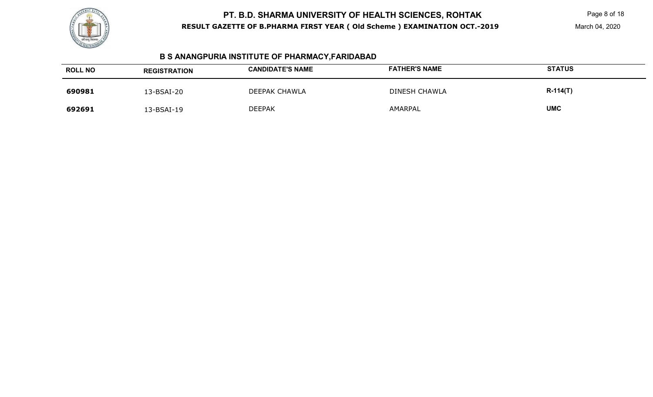

Page 8 of 18

March 04, 2020

# **B S ANANGPURIA INSTITUTE OF PHARMACY,FARIDABAD**

| <b>ROLL NO</b> | <b>REGISTRATION</b> | <b>CANDIDATE'S NAME</b> | <b>FATHER'S NAME</b> | <b>STATUS</b> |
|----------------|---------------------|-------------------------|----------------------|---------------|
| 690981         | 13-BSAI-20          | DEEPAK CHAWLA           | <b>DINESH CHAWLA</b> | $R-114(T)$    |
| 692691         | 13-BSAI-19          | <b>DEEPAK</b>           | AMARPAL              | <b>UMC</b>    |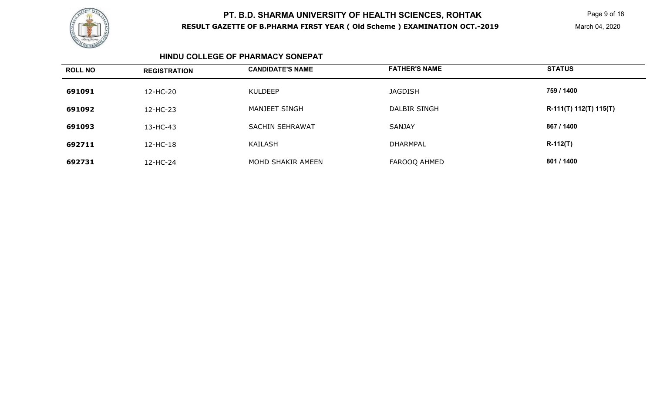

Page 9 of 18

March 04, 2020

#### **HINDU COLLEGE OF PHARMACY SONEPAT**

| <b>ROLL NO</b> | <b>REGISTRATION</b> | <b>CANDIDATE'S NAME</b> | <b>FATHER'S NAME</b> | <b>STATUS</b>            |
|----------------|---------------------|-------------------------|----------------------|--------------------------|
| 691091         | 12-HC-20            | <b>KULDEEP</b>          | <b>JAGDISH</b>       | 759 / 1400               |
| 691092         | 12-HC-23            | MANJEET SINGH           | <b>DALBIR SINGH</b>  | $R-111(T) 112(T) 115(T)$ |
| 691093         | 13-HC-43            | <b>SACHIN SEHRAWAT</b>  | <b>SANJAY</b>        | 867 / 1400               |
| 692711         | 12-HC-18            | KAILASH                 | <b>DHARMPAL</b>      | $R-112(T)$               |
| 692731         | 12-HC-24            | MOHD SHAKIR AMEEN       | FAROOQ AHMED         | 801 / 1400               |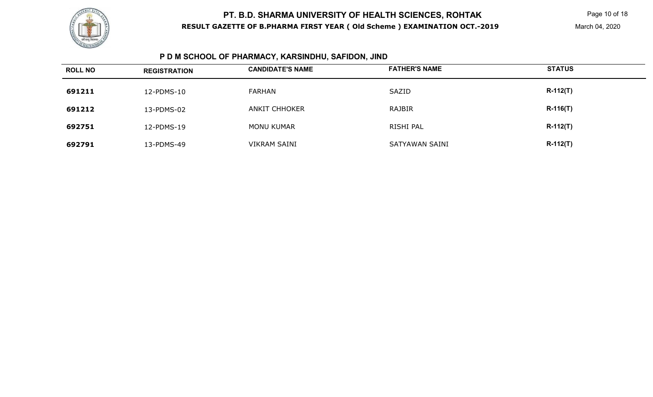

# **P D M SCHOOL OF PHARMACY, KARSINDHU, SAFIDON, JIND**

| <b>ROLL NO</b> | <b>REGISTRATION</b> | <b>CANDIDATE'S NAME</b> | <b>FATHER'S NAME</b> | <b>STATUS</b> |
|----------------|---------------------|-------------------------|----------------------|---------------|
| 691211         | 12-PDMS-10          | <b>FARHAN</b>           | SAZID                | $R-112(T)$    |
| 691212         | 13-PDMS-02          | ANKIT CHHOKER           | RAJBIR               | $R-116(T)$    |
| 692751         | 12-PDMS-19          | MONU KUMAR              | RISHI PAL            | $R-112(T)$    |
| 692791         | 13-PDMS-49          | <b>VIKRAM SAINI</b>     | SATYAWAN SAINI       | $R-112(T)$    |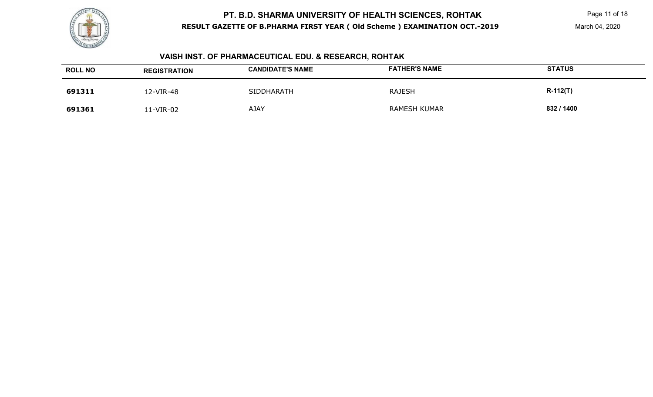

# **VAISH INST. OF PHARMACEUTICAL EDU. & RESEARCH, ROHTAK**

| <b>ROLL NO</b> | <b>REGISTRATION</b> | <b>CANDIDATE'S NAME</b> | <b>FATHER'S NAME</b> | <b>STATUS</b> |
|----------------|---------------------|-------------------------|----------------------|---------------|
| 691311         | 12-VIR-48           | SIDDHARATH              | <b>RAJESH</b>        | $R-112(T)$    |
| 691361         | 1-VIR-02            | <b>AJAY</b>             | <b>RAMESH KUMAR</b>  | 832 / 1400    |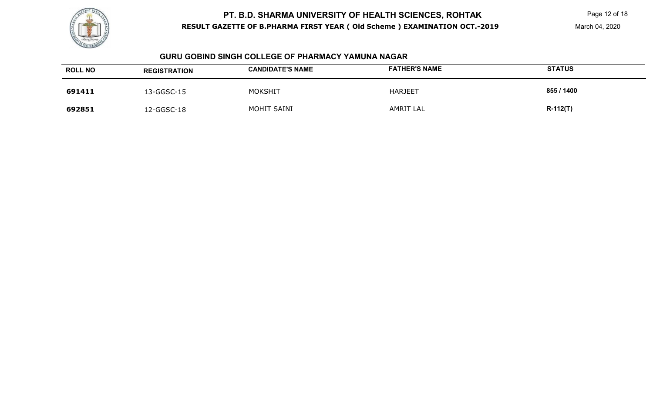

#### **GURU GOBIND SINGH COLLEGE OF PHARMACY YAMUNA NAGAR**

| <b>ROLL NO</b> | <b>REGISTRATION</b> | <b>CANDIDATE'S NAME</b> | <b>FATHER'S NAME</b> | <b>STATUS</b> |
|----------------|---------------------|-------------------------|----------------------|---------------|
| 691411         | 13-GGSC-15          | <b>MOKSHIT</b>          | <b>HARJEET</b>       | 855 / 1400    |
| 692851         | 12-GGSC-18          | MOHIT SAINI             | <b>AMRIT LAL</b>     | $R-112(T)$    |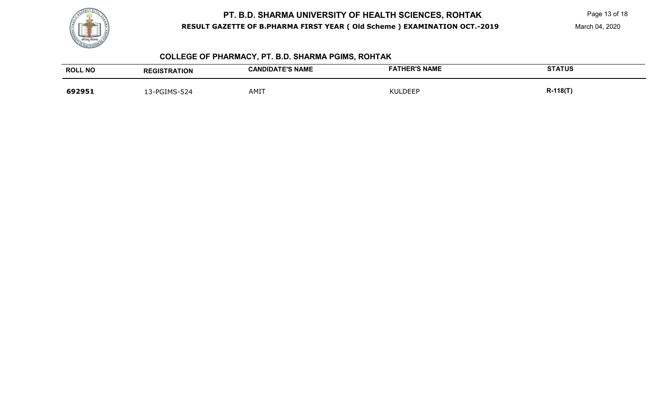

Page 13 of 18

# **COLLEGE OF PHARMACY, PT. B.D. SHARMA PGIMS, ROHTAK**

| <b>ROLL NO</b> | <b>REGISTRATION</b> | <b>CANDIDATE'S NAME</b> | <b>FATHER'S NAME</b> | <b>STATUS</b> |
|----------------|---------------------|-------------------------|----------------------|---------------|
| 692951         | 3-PGIMS-524         | AMIT                    | <b>NULDEEP</b>       | $R-118(T)$    |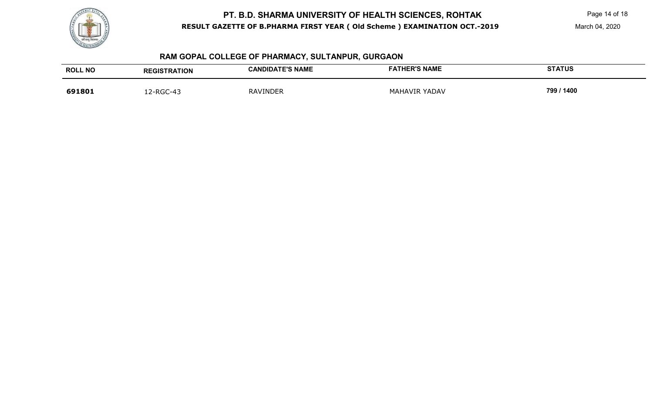

Page 14 of 18

# **RAM GOPAL COLLEGE OF PHARMACY, SULTANPUR, GURGAON**

| <b>ROLL NO</b> | <b>REGISTRATION</b> | <b>CANDIDATE'S NAME</b> | <b>FATHER'S NAME</b> | <b>STATUS</b> |
|----------------|---------------------|-------------------------|----------------------|---------------|
| 691801         | 12-RGC-43           | <b>RAVINDER</b>         | <b>MAHAVIR YADAV</b> | 799 / 1400    |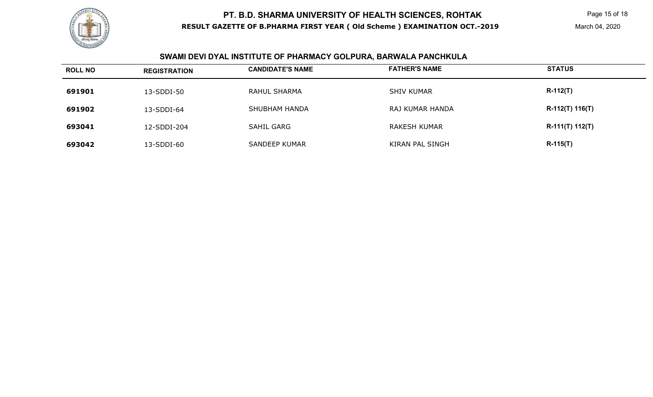

Page 15 of 18

# **SWAMI DEVI DYAL INSTITUTE OF PHARMACY GOLPURA, BARWALA PANCHKULA**

| <b>ROLL NO</b> | <b>REGISTRATION</b> | <b>CANDIDATE'S NAME</b> | <b>FATHER'S NAME</b> | <b>STATUS</b>   |
|----------------|---------------------|-------------------------|----------------------|-----------------|
| 691901         | 13-SDDI-50          | RAHUL SHARMA            | <b>SHIV KUMAR</b>    | $R-112(T)$      |
| 691902         | 13-SDDI-64          | <b>SHUBHAM HANDA</b>    | RAJ KUMAR HANDA      | R-112(T) 116(T) |
| 693041         | 12-SDDI-204         | <b>SAHIL GARG</b>       | <b>RAKESH KUMAR</b>  | R-111(T) 112(T) |
| 693042         | 13-SDDI-60          | <b>SANDEEP KUMAR</b>    | KIRAN PAL SINGH      | <b>R-115(T)</b> |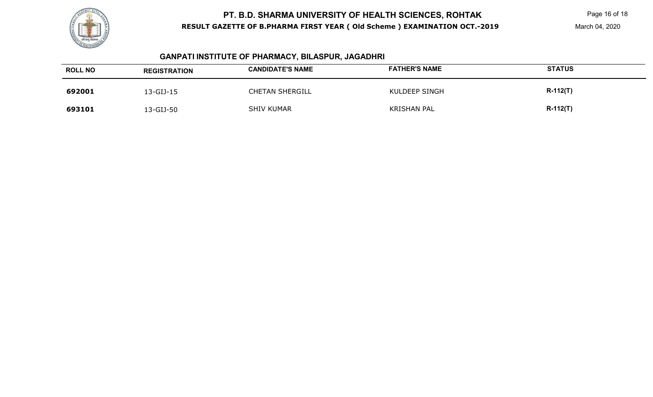

Page 16 of 18

#### **GANPATI INSTITUTE OF PHARMACY, BILASPUR, JAGADHRI**

| <b>ROLL NO</b> | <b>REGISTRATION</b> | <b>CANDIDATE'S NAME</b> | <b>FATHER'S NAME</b> | <b>STATUS</b> |
|----------------|---------------------|-------------------------|----------------------|---------------|
| 692001         | 13-GIJ-15           | <b>CHETAN SHERGILL</b>  | KULDEEP SINGH        | $R-112(T)$    |
| 693101         | 13-GIJ-50           | <b>SHIV KUMAR</b>       | <b>KRISHAN PAL</b>   | $R-112(T)$    |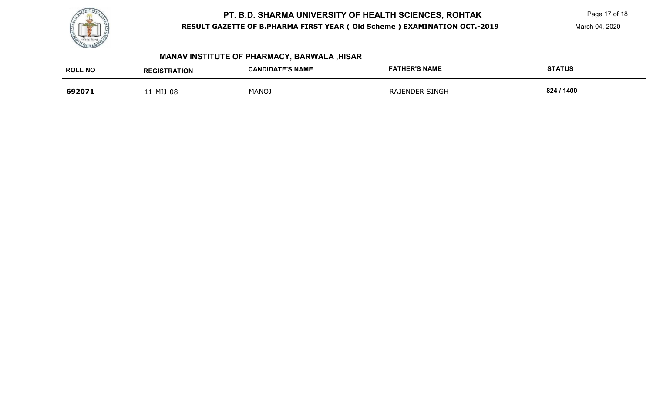

Page 17 of 18

March 04, 2020

# **MANAV INSTITUTE OF PHARMACY, BARWALA ,HISAR**

| <b>ROLL NO</b> | <b>REGISTRATION</b> | <b>CANDIDATE'S NAME</b> | <b>FATHER'S NAME</b>  | <b>STATUS</b> |
|----------------|---------------------|-------------------------|-----------------------|---------------|
| 692071         | 1-MIJ-08            | <b>MANOJ</b>            | <b>RAJENDER SINGH</b> | 824 / 1400    |